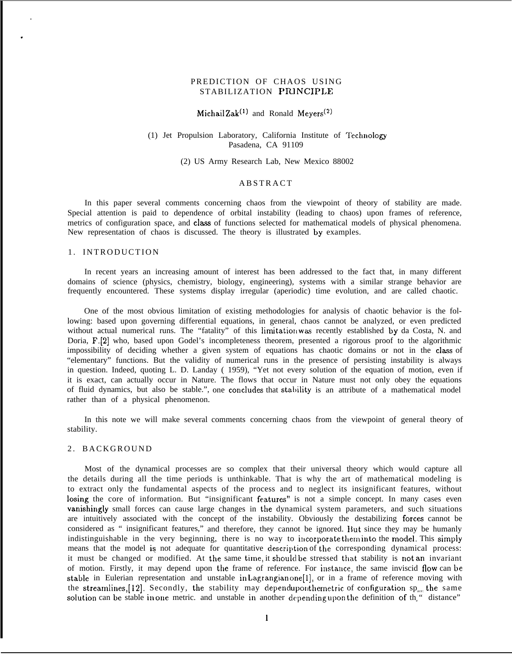## PREDICTION OF CHAOS USING STABILIZATION PRINCIPLE

# Michail Zak<sup>(1)</sup> and Ronald Meyers<sup>(2)</sup>

#### (1) Jet Propulsion Laboratory, California Institute of Technology Pasadena, CA 91109

(2) US Army Research Lab, New Mexico 88002

## **ABSTRACT**

In this paper several comments concerning chaos from the viewpoint of theory of stability are made. Special attention is paid to dependence of orbital instability (leading to chaos) upon frames of reference, metrics of configuration space, and class of functions selected for mathematical models of physical phenomena. New representation of chaos is discussed. The theory is illustrated by examples.

### 1. INTRODUCTION

.

.

In recent years an increasing amount of interest has been addressed to the fact that, in many different domains of science (physics, chemistry, biology, engineering), systems with a similar strange behavior are frequently encountered. These systems display irregular (aperiodic) time evolution, and are called chaotic.

One of the most obvious limitation of existing methodologies for analysis of chaotic behavior is the following: based upon governing differential equations, in general, chaos cannot be analyzed, or even predicted without actual numerical runs. The "fatality" of this limitation was recently established by da Costa, N. and Doria, F.[2] who, based upon Godel's incompleteness theorem, presented a rigorous proof to the algorithmic impossibility of deciding whether a given system of equations has chaotic domains or not in the class of "elementary" functions. But the validity of numerical runs in the presence of persisting instability is always in question. Indeed, quoting L. D. Landay ( 1959), "Yet not every solution of the equation of motion, even if it is exact, can actually occur in Nature. The flows that occur in Nature must not only obey the equations of fluid dynamics, but also be stable.", one concludes that stability is an attribute of a mathematical model rather than of a physical phenomenon.

In this note we will make several comments concerning chaos from the viewpoint of general theory of stability.

## 2. BACKGROUND

Most of the dynamical processes are so complex that their universal theory which would capture all the details during all the time periods is unthinkable. That is why the art of mathematical modeling is to extract only the fundamental aspects of the process and to neglect its insignificant features, without losing the core of information. But "insignificant features" is not a simple concept. In many cases even vanishingly small forces can cause large changes in the dynamical system parameters, and such situations are intuitively associated with the concept of the instability. Obviously the destabilizing forces cannot be considered as " insignificant features," and therefore, they cannot be ignored. But since they may be humanly indistinguishable in the very beginning, there is no way to incorporate them into the model. This simply means that the model is not adequate for quantitative description of the corresponding dynamical process: it must be changed or modified. At the same time, it should be stressed that stability is not an invariant of motion. Firstly, it may depend upon the frame of reference. For instauce, the same inviscid flow can be stable in Eulerian representation and unstable in Lagrangian one[l], or in a frame of reference moving with the streamlines, [12]. Secondly, the stability may depend upon the metric of configuration  $sp_{\text{max}}$  the same solution can be stable in one metric. and unstable in another depending upon the definition of the " distance"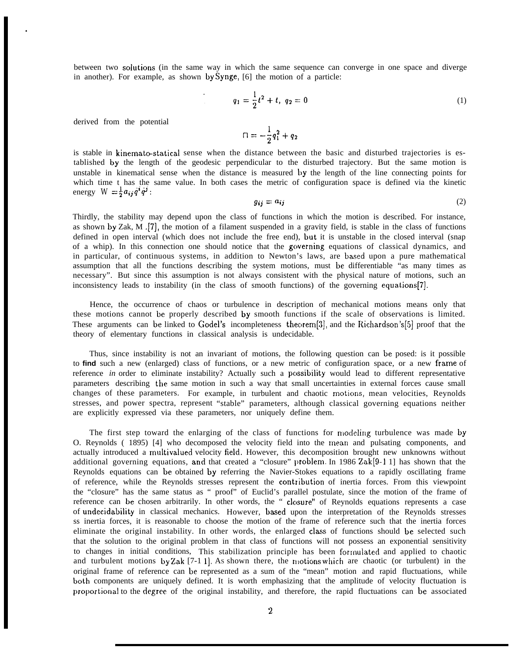between two soiutions (in the same way in which the same sequence can converge in one space and diverge in another). For example, as shown by Synge, [6] the motion of a particle:

$$
q_1 = \frac{1}{2}t^2 + t, \ q_2 = 0 \tag{1}
$$

derived from the potential

.

$$
\Box = -\frac{1}{2}q_1^2 + q_2
$$

is stable in kinemato-statical sense when the distance between the basic and disturbed trajectories is established by the length of the geodesic perpendicular to the disturbed trajectory. But the same motion is unstable in kinematical sense when the distance is measured hy the length of the line connecting points for which time t has the same value. In both cases the metric of configuration space is defined via the kinetic energy  $W = \frac{1}{2} a_{ij} \dot{q}^i \dot{q}^j$ :

$$
g_{ij} = a_{ij} \tag{2}
$$

Thirdly, the stability may depend upon the class of functions in which the motion is described. For instance, as shown by Zak, M ,[7], the motion of a filament suspended in a gravity field, is stable in the class of functions defined in open interval (which does not include the free end), but it is unstable in the closed interval (snap of a whip). In this connection one should notice that the gcwerning equations of classical dynamics, and in particular, of continuous systems, in addition to Newton's laws, are based upon a pure mathematical assumption that all the functions describing the system motions, must be differentiable "as many times as necessary". But since this assumption is not always consistent with the physical nature of motions, such an inconsistency leads to instability (in the class of smooth functions) of the governing equations[7].

Hence, the occurrence of chaos or turbulence in description of mechanical motions means only that these motions cannot be properly described by smooth functions if the scale of observations is limited. These arguments can be linked to Godel's incompleteness theorem<sup>[3]</sup>, and the Richardson's<sup>[5]</sup> proof that the theory of elementary functions in classical analysis is undecidable.

Thus, since instability is not an invariant of motions, the following question can be posed: is it possible to **find** such a new (enlarged) class of functions, or a new metric of configuration space, or a new frame of reference *in* order to eliminate instability? Actually such a possibility would lead to different representative parameters describing the same motion in such a way that small uncertainties in external forces cause small changes of these parameters. For example, in turbulent and chaotic motions, mean velocities, Reynolds stresses, and power spectra, represent "stable" parameters, although classical governing equations neither are explicitly expressed via these parameters, nor uniquely define them.

The first step toward the enlarging of the class of functions for modeling turbulence was made by O. Reynolds ( 1895) [4] who decomposed the velocity field into the xnean and pulsating components, and actually introduced a rnultivalued velocity field. However, this decomposition brought new unknowns without additional governing equations, and that created a "closure" problem. In 1986 Zak[9-1 1] has shown that the Reynolds equations can be obtained by referring the Navier-Stokes equations to a rapidly oscillating frame of reference, while the Reynolds stresses represent the ccmtribution of inertia forces. From this viewpoint the "closure" has the same status as " proof" of Euclid's parallel postulate, since the motion of the frame of reference can be chosen arbitrarily. In other words, the " closure" of Reynolds equations represents a case of undecidability in classical mechanics. However, based upon the interpretation of the Reynolds stresses ss inertia forces, it is reasonable to choose the motion of the frame of reference such that the inertia forces eliminate the original instability. In other words, the enlarged class of functions should be selected such that the solution to the original problem in that class of functions will not possess an exponential sensitivity to changes in initial conditions, This stabilization principle has been formulated and applied to chaotic and turbulent motions  $by \, \text{Zak}$  [7-1 1]. As shown there, the motions which are chaotic (or turbulent) in the original frame of reference can be represented as a sum of the "mean" motion and rapid fluctuations, while both components are uniquely defined. It is worth emphasizing that the amplitude of velocity fluctuation is proportional to the degree of the original instability, and therefore, the rapid fluctuations can be associated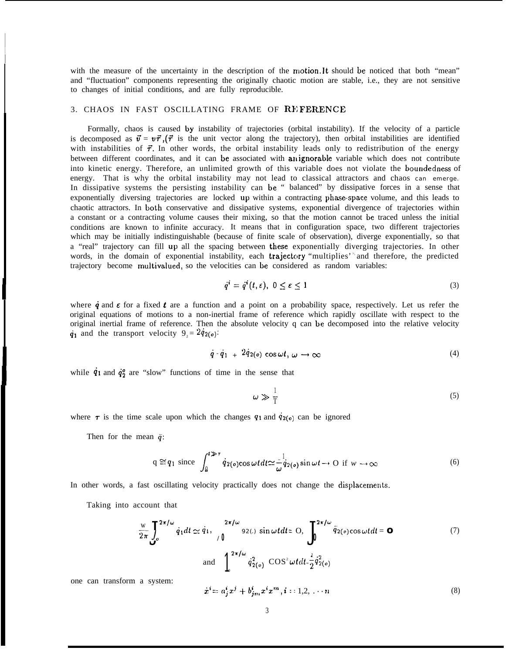with the measure of the uncertainty in the description of the motion. It should be noticed that both "mean" and "fluctuation" components representing the originally chaotic motion are stable, i.e., they are not sensitive to changes of initial conditions, and are fully reproducible.

### 3. CHAOS IN FAST OSCILLATING FRAME OF REFERENCE

Formally, chaos is caused by instability of trajectories (orbital instability). If the velocity of a particle is decomposed as  $\vec{v} = v\vec{r}$ ,  $(\vec{r}$  is the unit vector along the trajectory), then orbital instabilities are identified with instabilities of  $\vec{\tau}$ . In other words, the orbital instability leads only to redistribution of the energy between different coordinates, and it can be associated with anignorable variable which does not contribute into kinetic energy. Therefore, an unlimited growth of this variable does not violate the boundedness of energy. That is why the orbital instability may not lead to classical attractors and chaos can emerge. In dissipative systems the persisting instability can be " balanced" by dissipative forces in a sense that exponentially diversing trajectories are locked up within a contracting phase-space volume, and this leads to chaotic attractors. In both conservative and dissipative systems, exponential divergence of trajectories within a constant or a contracting volume causes their mixing, so that the motion cannot be traced unless the initial conditions are known to infinite accuracy. It means that in configuration space, two different trajectories which may be initially indistinguishable (because of finite scale of observation), diverge exponentially, so that a "real" trajectory can fill up all the spacing between these exponentially diverging trajectories. In other words, in the domain of exponential instability, each trajectory "multiplies' and therefore, the predicted trajectory become multivalued, so the velocities can be considered as random variables:

$$
\dot{q}^i = \dot{q}^i(t, \varepsilon), \ 0 \le \varepsilon \le 1 \tag{3}
$$

where  $\dot{q}$  and  $\epsilon$  for a fixed t are a function and a point on a probability space, respectively. Let us refer the original equations of motions to a non-inertial frame of reference which rapidly oscillate with respect to the original inertial frame of reference. Then the absolute velocity q can be decomposed into the relative velocity  $\dot{q}_1$  and the transport velocity  $9_2 = 2\dot{q}_{2(\sigma)}$ :

$$
\dot{q} \cdot \dot{q}_1 + 2\dot{q}_2(\rho) \cos \omega t, \ \omega \to \infty \tag{4}
$$

while  $\dot{q}_1$  and  $\dot{q}_2^o$  are "slow" functions of time in the sense that

$$
\omega \gg \frac{1}{T} \tag{5}
$$

where  $\tau$  is the time scale upon which the changes  $q_1$  and  $\dot{q}_{2(0)}$  can be ignored

Then for the mean  $\bar{q}$ :

I I

**I**

I

**I**

$$
q \cong q_1 \text{ since } \int_0^{t \gg \tau} \dot{q}_{2(\sigma)\cos\omega t} dt \simeq \frac{1}{\omega} \dot{q}_{2(\sigma)} \sin \omega t \to 0 \text{ if } w \to \infty
$$
 (6)

In other words, a fast oscillating velocity practically does not change the displacements.

Taking into account that

$$
\frac{w}{2\pi} \int_{o}^{2\pi/\omega} \dot{q}_1 dt \simeq \dot{q}_1, \qquad \frac{2\pi/\omega}{\sqrt{2\pi}} \text{sg}(1) \sin \omega t dt = O, \qquad \int_{0}^{2\pi/\omega} \ddot{q}_2(\omega) \cos \omega t dt = O \tag{7}
$$
\n
$$
\text{and} \qquad \int_{0}^{2\pi/\omega} \dot{q}_2^2(\omega) \cos^2 \omega t dt + \frac{1}{2} \dot{q}_2^2(\omega)
$$
\n
$$
\text{a system:} \qquad \dot{x}^i = a_j^i x^j + b_{jm}^i x^i x^m, i = 1, 2, \dots, n \tag{8}
$$

one can transform a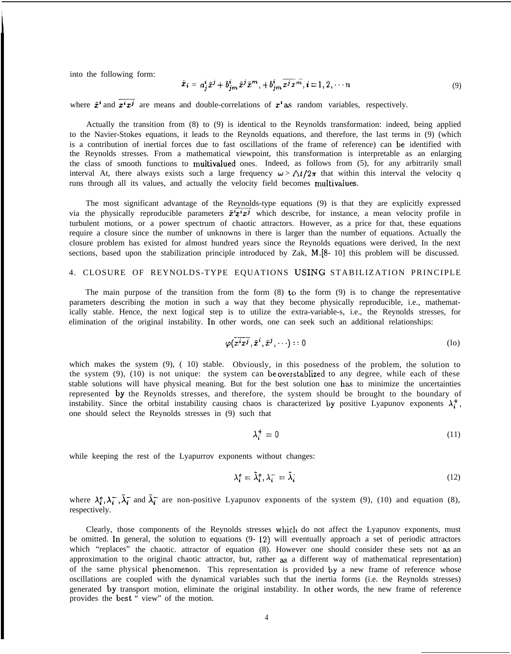into the following form:

**I**

$$
\bar{x}_i = a_j^i \bar{x}^j + b_{jm}^i \bar{x}^j \bar{x}^m, + b_{jm}^i \bar{x}^j \bar{x}^m, i = 1, 2, \cdots n
$$
\n<sup>(9)</sup>

where  $\bar{x}^i$  and  $\bar{x}^i \bar{x}^j$  are means and double-correlations of  $x^i$  as random variables, respectively.

Actually the transition from (8) to (9) is identical to the Reynolds transformation: indeed, being applied to the Navier-Stokes equations, it leads to the Reynolds equations, and therefore, the last terms in (9) (which is a contribution of inertial forces due to fast oscillations of the frame of reference) can be identified with the Reynolds stresses. From a mathematical viewpoint, this transformation is interpretable as an enlarging the class of smooth functions to multivalued ones. Indeed, as follows from (5), for any arbitrarily small interval At, there always exists such a large frequency  $\omega > \Delta t/2\pi$  that within this interval the velocity q runs through all its values, and actually the velocity field becomes multivalues.

The most significant advantage of the Reynolds-type equations (9) is that they are explicitly expressed via the physically reproducible parameters  $\bar{x}^T\bar{x}^i x^j$  which describe, for instance, a mean velocity profile in turbulent motions, or a power spectrum of chaotic attractors. However, as a price for that, these equations require a closure since the number of unknowns in there is larger than the number of equations. Actually the closure problem has existed for almost hundred years since the Reynolds equations were derived, In the next sections, based upon the stabilization principle introduced by Zak, M.[8- 10] this problem will be discussed.

## 4. CLOSURE OF REYNOLDS-TYPE EQUATIONS USING STABILIZATION PRINCIPLE

The main purpose of the transition from the form  $(8)$  to the form  $(9)$  is to change the representative parameters describing the motion in such a way that they become physically reproducible, i.e., mathematically stable. Hence, the next logical step is to utilize the extra-variable-s, i.e., the Reynolds stresses, for elimination of the original instability. In other words, one can seek such an additional relationships:

$$
\varphi(\overline{x^i x^j}, \overline{x}^i, \overline{x}^j, \cdots) = 0 \tag{10}
$$

which makes the system (9), ( 10) stable. Obviously, in this posedness of the problem, the solution to the system (9), (10) is not unique: the system can be overstablized to any degree, while each of these stable solutions will have physical meaning. But for the best solution one has to minimize the uncertainties represented by the Reynolds stresses, and therefore, the system should be brought to the boundary of instability. Since the orbital instability causing chaos is characterized by positive Lyapunov exponents  $\lambda_i^+$ , one should select the Reynolds stresses in (9) such that

$$
\lambda_i^+ = 0 \tag{11}
$$

while keeping the rest of the Lyapurrov exponents without changes:

$$
\lambda_i^o = \tilde{\lambda}_i^o, \lambda_i^- = \tilde{\lambda}_i^- \tag{12}
$$

where  $\lambda_i^{\circ}, \lambda_i^-$ ,  $\tilde{\lambda}_i^-$  and  $\tilde{\lambda}_i^-$  are non-positive Lyapunov exponents of the system (9), (10) and equation (8), respectively.

Clearly, those components of the Reynolds stresses which do not affect the Lyapunov exponents, must be omitted. In general, the solution to equations (9- 12) will eventually approach a set of periodic attractors which "replaces" the chaotic. attractor of equation (8). However one should consider these sets not as an approximation to the original chaotic attractor, but, rather as a different way of mathematical representation) of the same physical phenomenon. This representation is provided by a new frame of reference whose oscillations are coupled with the dynamical variables such that the inertia forms (i.e. the Reynolds stresses) generated by transport motion, eliminate the original instability. In other words, the new frame of reference provides the best " view" of the motion.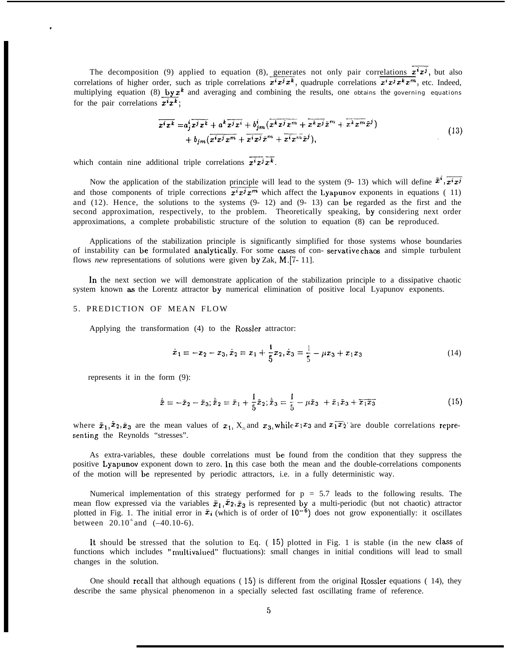The decomposition (9) applied to equation (8), generates not only pair correlations  $\overline{x}^{i}\overline{x}^{j}$ , but also correlations of higher order, such as triple correlations  $\overline{x^i x^j x^k}$ , quadruple correlations  $\overline{x^i x^j x^k x^m}$ , etc. Indeed, multiplying equation (8) by  $x^k$  and averaging and combining the results, one obtains the governing equations for the pair correlations  $\vec{x}^i \vec{x}^k$ ;

$$
\overline{x^i x^k} = a_j^i \overline{x^j x^k} + a^k \overline{x^j x^i} + b_{jm}^i (\overline{x^k x^j x^m} + \overline{x^k x^j} \overline{x}^m + \overline{x^k x^m} \overline{x}^j) + b_{jm} (\overline{x^i x^j x^m} + \overline{x^i x^j} \overline{x}^m + \overline{x^i x^m} \overline{x}^j),
$$
\n(13)

which contain nine additional triple correlations  $\overline{x^i x^j} \overline{x^k}$ .

.

which contain nine additional triple correlations  $x^i x^j x^k$ .<br>
Now the application of the stabilization principle will lead to the system (9- 13) which will define  $\bar{x}^i$ ,  $\bar{x}^i \bar{x}^j$  and those components of triple and  $(12)$ . Hence, the solutions to the systems  $(9-12)$  and  $(9-13)$  can be regarded as the first and the second approximation, respectively, to the problem. Theoretically speaking, by considering next order approximations, a complete probabilistic structure of the solution to equation (8) can be reproduced.

Applications of the stabilization principle is significantly simplified for those systems whose boundaries of instability can be formulated analytically. For some cases of con-servative chaos and simple turbulent flows *new* representations of solutions were given by Zak, M.[7- 11].

In the next section we will demonstrate application of the stabilization principle to a dissipative chaotic system known as the Lorentz attractor by numerical elimination of positive local Lyapunov exponents.

## 5. PREDICTION OF MEAN FLOW

Applying the transformation (4) to the Rossler attractor:

$$
\dot{x}_1 = -x_2 - x_3, \dot{x}_2 = x_1 + \frac{1}{5}x_2, \dot{x}_3 = \frac{1}{5} - \mu x_3 + x_1 x_3 \tag{14}
$$

represents it in the form (9):

$$
\dot{\bar{x}} = -\bar{x}_2 - \bar{x}_3; \dot{\bar{x}}_2 = \bar{x}_1 + \frac{1}{5}\bar{x}_2; \dot{\bar{x}}_3 = \frac{1}{5} - \mu \bar{x}_3 + \bar{x}_1 \bar{x}_3 + \overline{x_1 x_3}
$$
(15)

where  $\tilde{x}_1, \tilde{x}_2, \tilde{x}_3$  are the mean values of  $x_1, X_2$  and  $x_3$ , while  $x_1x_3$  and  $x_1\overline{x}_2$  are double correlations representing the Reynolds "stresses".

As extra-variables, these double correlations must be found from the condition that they suppress the positive Lyapunov exponent down to zero. In this case both the mean and the double-correlations components of the motion will be represented by periodic attractors, i.e. in a fully deterministic way.

Numerical implementation of this strategy performed for  $p = 5.7$  leads to the following results. The mean flow expressed via the variables  $\bar{x}_1, \bar{x}_2, \bar{x}_3$  is represented by a multi-periodic (but not chaotic) attractor plotted in Fig. 1. The initial error in  $\bar{x}_i$  (which is of order of  $10^{-6}$ ) does not grow exponentially: it oscillates between  $20.10^{6}$  and  $(-40.10-6)$ .

It should be stressed that the solution to Eq.  $(15)$  plotted in Fig. 1 is stable (in the new class of functions which includes "rnultivalued" fluctuations): small changes in initial conditions will lead to small changes in the solution.

One should recall that although equations ( 15) is different from the original Rossler equations ( 14), they describe the same physical phenomenon in a specially selected fast oscillating frame of reference.